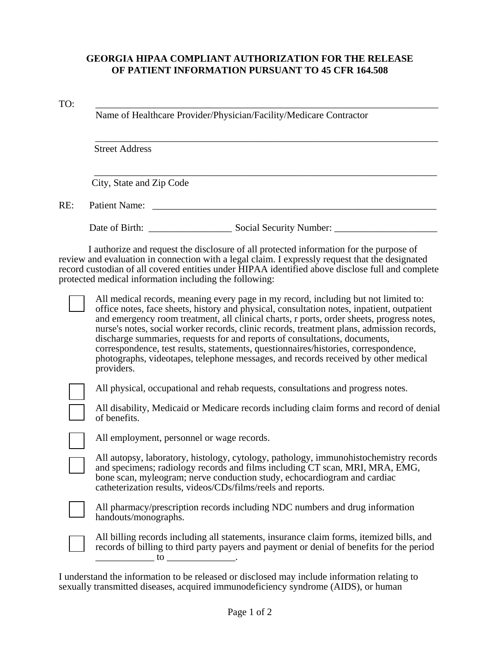## **GEORGIA HIPAA COMPLIANT AUTHORIZATION FOR THE RELEASE OF PATIENT INFORMATION PURSUANT TO 45 CFR 164.508**

TO: \_\_\_\_\_\_\_\_\_\_\_\_\_\_\_\_\_\_\_\_\_\_\_\_\_\_\_\_\_\_\_\_\_\_\_\_\_\_\_\_\_\_\_\_\_\_\_\_\_\_\_\_\_\_\_\_\_\_\_\_\_\_\_\_\_\_\_\_\_\_

Name of Healthcare Provider/Physician/Facility/Medicare Contractor

Street Address

City, State and Zip Code

RE: Patient Name: \_\_\_\_\_\_\_\_\_\_\_\_\_\_\_\_\_\_\_\_\_\_\_\_\_\_\_\_\_\_\_\_\_\_\_\_\_\_\_\_\_\_\_\_\_\_\_\_\_\_\_\_\_\_\_\_\_\_

Date of Birth: \_\_\_\_\_\_\_\_\_\_\_\_\_\_\_\_\_ Social Security Number: \_\_\_\_\_\_\_\_\_\_\_\_\_\_\_\_\_\_\_\_\_

\_\_\_\_\_\_\_\_\_\_\_\_\_\_\_\_\_\_\_\_\_\_\_\_\_\_\_\_\_\_\_\_\_\_\_\_\_\_\_\_\_\_\_\_\_\_\_\_\_\_\_\_\_\_\_\_\_\_\_\_\_\_\_\_\_\_\_\_\_\_

\_\_\_\_\_\_\_\_\_\_\_\_\_\_\_\_\_\_\_\_\_\_\_\_\_\_\_\_\_\_\_\_\_\_\_\_\_\_\_\_\_\_\_\_\_\_\_\_\_\_\_\_\_\_\_\_\_\_\_\_\_\_\_\_\_\_\_\_\_\_

I authorize and request the disclosure of all protected information for the purpose of review and evaluation in connection with a legal claim. I expressly request that the designated record custodian of all covered entities under HIPAA identified above disclose full and complete protected medical information including the following:

All medical records, meaning every page in my record, including but not limited to: office notes, face sheets, history and physical, consultation notes, inpatient, outpatient and emergency room treatment, all clinical charts, r ports, order sheets, progress notes, nurse's notes, social worker records, clinic records, treatment plans, admission records, discharge summaries, requests for and reports of consultations, documents, correspondence, test results, statements, questionnaires/histories, correspondence, photographs, videotapes, telephone messages, and records received by other medical providers.

All physical, occupational and rehab requests, consultations and progress notes.

All disability, Medicaid or Medicare records including claim forms and record of denial of benefits.

All employment, personnel or wage records.

All autopsy, laboratory, histology, cytology, pathology, immunohistochemistry records and specimens; radiology records and films including CT scan, MRI, MRA, EMG, bone scan, myleogram; nerve conduction study, echocardiogram and cardiac catheterization results, videos/CDs/films/reels and reports.



All pharmacy/prescription records including NDC numbers and drug information handouts/monographs.

All billing records including all statements, insurance claim forms, itemized bills, and records of billing to third party payers and payment or denial of benefits for the period  $\overline{u}$  to  $\overline{u}$ 

I understand the information to be released or disclosed may include information relating to sexually transmitted diseases, acquired immunodeficiency syndrome (AIDS), or human